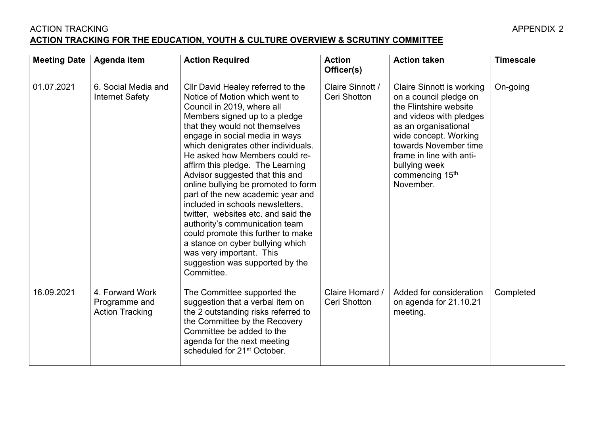## ACTION TRACKING APPENDIX 2 **ACTION TRACKING FOR THE EDUCATION, YOUTH & CULTURE OVERVIEW & SCRUTINY COMMITTEE**

| <b>Meeting Date</b> | Agenda item                                                | <b>Action Required</b>                                                                                                                                                                                                                                                                                                                                                                                                                                                                                                                                                                                                                                                                                 | <b>Action</b><br>Officer(s)      | <b>Action taken</b>                                                                                                                                                                                                                                                                | <b>Timescale</b> |
|---------------------|------------------------------------------------------------|--------------------------------------------------------------------------------------------------------------------------------------------------------------------------------------------------------------------------------------------------------------------------------------------------------------------------------------------------------------------------------------------------------------------------------------------------------------------------------------------------------------------------------------------------------------------------------------------------------------------------------------------------------------------------------------------------------|----------------------------------|------------------------------------------------------------------------------------------------------------------------------------------------------------------------------------------------------------------------------------------------------------------------------------|------------------|
| 01.07.2021          | 6. Social Media and<br><b>Internet Safety</b>              | Cllr David Healey referred to the<br>Notice of Motion which went to<br>Council in 2019, where all<br>Members signed up to a pledge<br>that they would not themselves<br>engage in social media in ways<br>which denigrates other individuals.<br>He asked how Members could re-<br>affirm this pledge. The Learning<br>Advisor suggested that this and<br>online bullying be promoted to form<br>part of the new academic year and<br>included in schools newsletters,<br>twitter, websites etc. and said the<br>authority's communication team<br>could promote this further to make<br>a stance on cyber bullying which<br>was very important. This<br>suggestion was supported by the<br>Committee. | Claire Sinnott /<br>Ceri Shotton | <b>Claire Sinnott is working</b><br>on a council pledge on<br>the Flintshire website<br>and videos with pledges<br>as an organisational<br>wide concept. Working<br>towards November time<br>frame in line with anti-<br>bullying week<br>commencing 15 <sup>th</sup><br>November. | On-going         |
| 16.09.2021          | 4. Forward Work<br>Programme and<br><b>Action Tracking</b> | The Committee supported the<br>suggestion that a verbal item on<br>the 2 outstanding risks referred to<br>the Committee by the Recovery<br>Committee be added to the<br>agenda for the next meeting<br>scheduled for 21 <sup>st</sup> October.                                                                                                                                                                                                                                                                                                                                                                                                                                                         | Claire Homard /<br>Ceri Shotton  | Added for consideration<br>on agenda for 21.10.21<br>meeting.                                                                                                                                                                                                                      | Completed        |